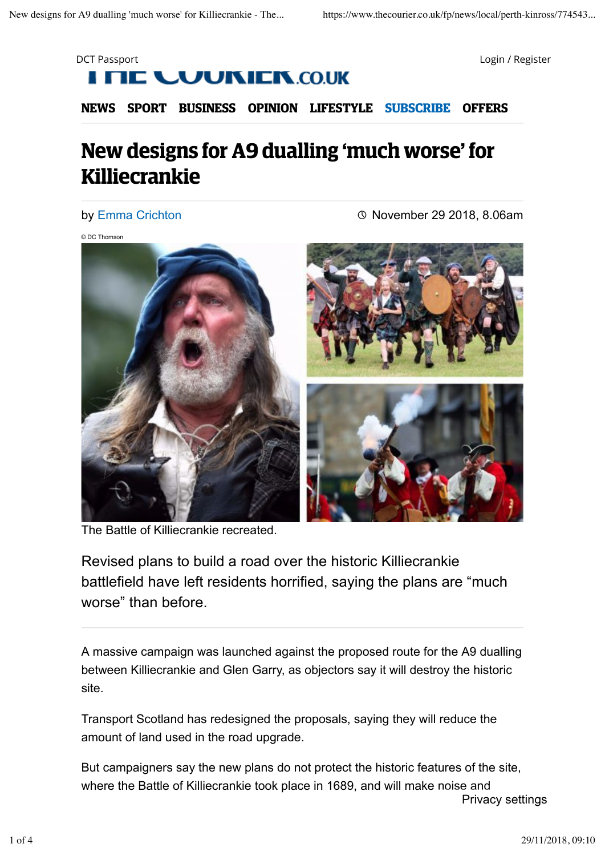



**NEWS SPORT BUSINESS OPINION LIFESTYLE SUBSCRIBE OFFERS**

## **New designs for A9 dualling 'much worse' for Killiecrankie**

by Emma Crichton

November 29 2018, 8.06am

© DC Thomson



The Battle of Killiecrankie recreated.

Revised plans to build a road over the historic Killiecrankie battlefield have left residents horrified, saying the plans are "much worse" than before.

A massive campaign was launched against the proposed route for the A9 dualling between Killiecrankie and Glen Garry, as objectors say it will destroy the historic site.

Transport Scotland has redesigned the proposals, saying they will reduce the amount of land used in the road upgrade.

But campaigners say the new plans do not protect the historic features of the site, where the Battle of Killiecrankie took place in 1689, and will make noise and Privacy settings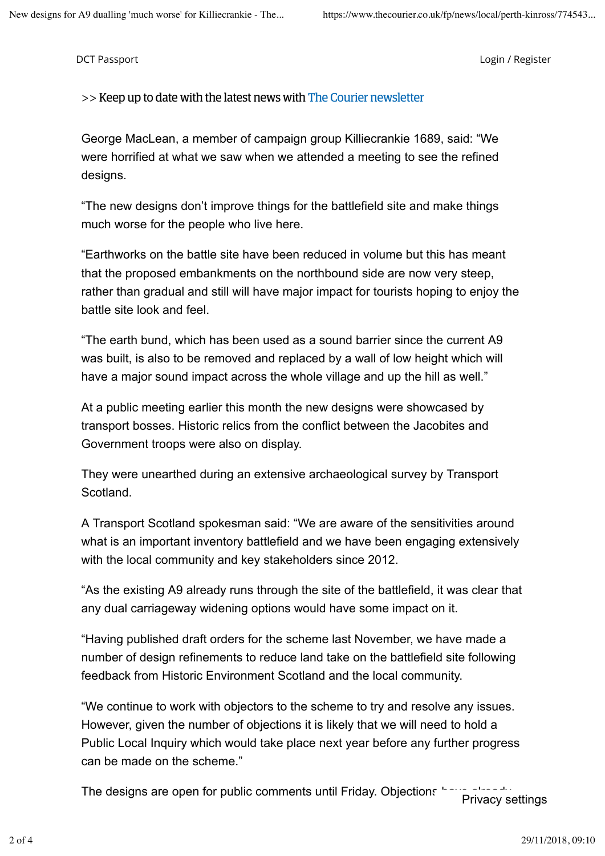DCT Passport Login / Register

>> Keep up to date with the latest news with The Courier newsletter

George MacLean, a member of campaign group Killiecrankie 1689, said: "We were horrified at what we saw when we attended a meeting to see the refined designs.

"The new designs don't improve things for the battlefield site and make things much worse for the people who live here.

"Earthworks on the battle site have been reduced in volume but this has meant that the proposed embankments on the northbound side are now very steep, rather than gradual and still will have major impact for tourists hoping to enjoy the battle site look and feel.

"The earth bund, which has been used as a sound barrier since the current A9 was built, is also to be removed and replaced by a wall of low height which will have a major sound impact across the whole village and up the hill as well."

At a public meeting earlier this month the new designs were showcased by transport bosses. Historic relics from the conflict between the Jacobites and Government troops were also on display.

They were unearthed during an extensive archaeological survey by Transport Scotland.

A Transport Scotland spokesman said: "We are aware of the sensitivities around what is an important inventory battlefield and we have been engaging extensively with the local community and key stakeholders since 2012.

"As the existing A9 already runs through the site of the battlefield, it was clear that any dual carriageway widening options would have some impact on it.

"Having published draft orders for the scheme last November, we have made a number of design refinements to reduce land take on the battlefield site following feedback from Historic Environment Scotland and the local community.

"We continue to work with objectors to the scheme to try and resolve any issues. However, given the number of objections it is likely that we will need to hold a Public Local Inquiry which would take place next year before any further progress can be made on the scheme."

The designs are open for public comments until Friday. Objections ' Privacy settings